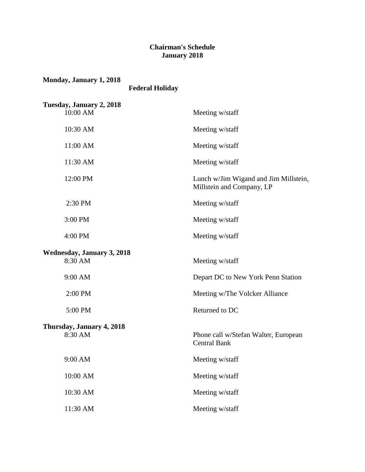## **Chairman's Schedule January 2018**

| Monday, January 1, 2018<br><b>Federal Holiday</b> |                                                                    |
|---------------------------------------------------|--------------------------------------------------------------------|
| Tuesday, January 2, 2018<br>10:00 AM              | Meeting w/staff                                                    |
| 10:30 AM                                          | Meeting w/staff                                                    |
| 11:00 AM                                          | Meeting w/staff                                                    |
| 11:30 AM                                          | Meeting w/staff                                                    |
| 12:00 PM                                          | Lunch w/Jim Wigand and Jim Millstein,<br>Millstein and Company, LP |
| 2:30 PM                                           | Meeting w/staff                                                    |
| 3:00 PM                                           | Meeting w/staff                                                    |
| 4:00 PM                                           | Meeting w/staff                                                    |
| <b>Wednesday, January 3, 2018</b><br>8:30 AM      | Meeting w/staff                                                    |
| 9:00 AM                                           | Depart DC to New York Penn Station                                 |
| 2:00 PM                                           | Meeting w/The Volcker Alliance                                     |
| 5:00 PM                                           | Returned to DC                                                     |
| Thursday, January 4, 2018<br>8:30 AM              | Phone call w/Stefan Walter, European<br>Central Bank               |
| 9:00 AM                                           | Meeting w/staff                                                    |
| 10:00 AM                                          | Meeting w/staff                                                    |
| 10:30 AM                                          | Meeting w/staff                                                    |
| 11:30 AM                                          | Meeting w/staff                                                    |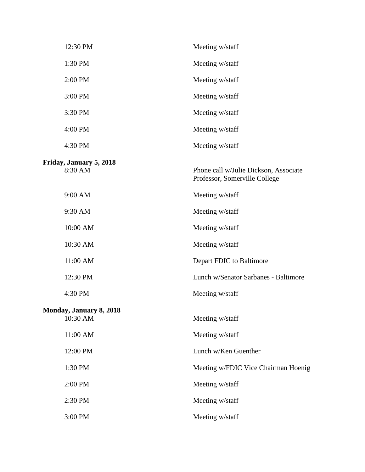| 12:30 PM                            | Meeting w/staff                                                        |
|-------------------------------------|------------------------------------------------------------------------|
| 1:30 PM                             | Meeting w/staff                                                        |
| 2:00 PM                             | Meeting w/staff                                                        |
| 3:00 PM                             | Meeting w/staff                                                        |
| 3:30 PM                             | Meeting w/staff                                                        |
| 4:00 PM                             | Meeting w/staff                                                        |
| 4:30 PM                             | Meeting w/staff                                                        |
| Friday, January 5, 2018<br>8:30 AM  | Phone call w/Julie Dickson, Associate<br>Professor, Somerville College |
| 9:00 AM                             | Meeting w/staff                                                        |
| 9:30 AM                             | Meeting w/staff                                                        |
| 10:00 AM                            | Meeting w/staff                                                        |
| 10:30 AM                            | Meeting w/staff                                                        |
| 11:00 AM                            | Depart FDIC to Baltimore                                               |
| 12:30 PM                            | Lunch w/Senator Sarbanes - Baltimore                                   |
| 4:30 PM                             | Meeting w/staff                                                        |
| Monday, January 8, 2018<br>10:30 AM | Meeting w/staff                                                        |
| 11:00 AM                            | Meeting w/staff                                                        |
| 12:00 PM                            | Lunch w/Ken Guenther                                                   |
| 1:30 PM                             | Meeting w/FDIC Vice Chairman Hoenig                                    |
| 2:00 PM                             | Meeting w/staff                                                        |
| 2:30 PM                             | Meeting w/staff                                                        |
| 3:00 PM                             | Meeting w/staff                                                        |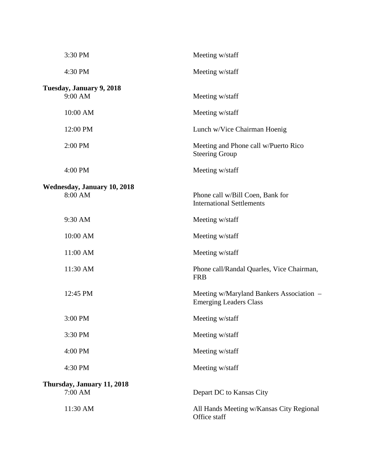| 3:30 PM                                       | Meeting w/staff                                                           |
|-----------------------------------------------|---------------------------------------------------------------------------|
| 4:30 PM                                       | Meeting w/staff                                                           |
| Tuesday, January 9, 2018<br>9:00 AM           | Meeting w/staff                                                           |
| 10:00 AM                                      | Meeting w/staff                                                           |
| 12:00 PM                                      | Lunch w/Vice Chairman Hoenig                                              |
| 2:00 PM                                       | Meeting and Phone call w/Puerto Rico<br><b>Steering Group</b>             |
| 4:00 PM                                       | Meeting w/staff                                                           |
| <b>Wednesday, January 10, 2018</b><br>8:00 AM | Phone call w/Bill Coen, Bank for<br><b>International Settlements</b>      |
| 9:30 AM                                       | Meeting w/staff                                                           |
| 10:00 AM                                      | Meeting w/staff                                                           |
| 11:00 AM                                      | Meeting w/staff                                                           |
| 11:30 AM                                      | Phone call/Randal Quarles, Vice Chairman,<br><b>FRB</b>                   |
| 12:45 PM                                      | Meeting w/Maryland Bankers Association –<br><b>Emerging Leaders Class</b> |
| 3:00 PM                                       | Meeting w/staff                                                           |
| 3:30 PM                                       | Meeting w/staff                                                           |
| 4:00 PM                                       | Meeting w/staff                                                           |
| 4:30 PM                                       | Meeting w/staff                                                           |
| Thursday, January 11, 2018<br>7:00 AM         | Depart DC to Kansas City                                                  |
| 11:30 AM                                      | All Hands Meeting w/Kansas City Regional<br>Office staff                  |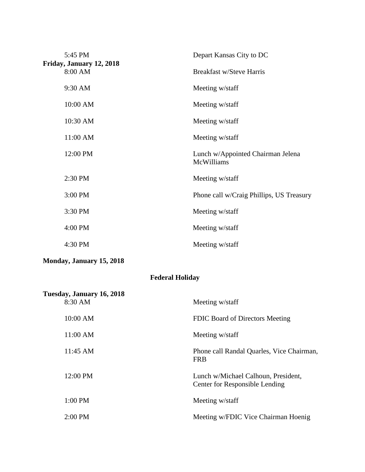| 5:45 PM                             | Depart Kansas City to DC                        |
|-------------------------------------|-------------------------------------------------|
| Friday, January 12, 2018<br>8:00 AM | <b>Breakfast w/Steve Harris</b>                 |
| 9:30 AM                             | Meeting w/staff                                 |
| 10:00 AM                            | Meeting w/staff                                 |
| 10:30 AM                            | Meeting w/staff                                 |
| 11:00 AM                            | Meeting w/staff                                 |
| 12:00 PM                            | Lunch w/Appointed Chairman Jelena<br>McWilliams |
| 2:30 PM                             | Meeting w/staff                                 |
| 3:00 PM                             | Phone call w/Craig Phillips, US Treasury        |
| 3:30 PM                             | Meeting w/staff                                 |
| 4:00 PM                             | Meeting w/staff                                 |
| 4:30 PM                             | Meeting w/staff                                 |

**Monday, January 15, 2018**

# **Federal Holiday**

| Tuesday, January 16, 2018 |                                                                       |
|---------------------------|-----------------------------------------------------------------------|
| 8:30 AM                   | Meeting w/staff                                                       |
| 10:00 AM                  | FDIC Board of Directors Meeting                                       |
| 11:00 AM                  | Meeting w/staff                                                       |
| 11:45 AM                  | Phone call Randal Quarles, Vice Chairman,<br><b>FRB</b>               |
| 12:00 PM                  | Lunch w/Michael Calhoun, President,<br>Center for Responsible Lending |
| $1:00$ PM                 | Meeting w/staff                                                       |
| $2:00$ PM                 | Meeting w/FDIC Vice Chairman Hoenig                                   |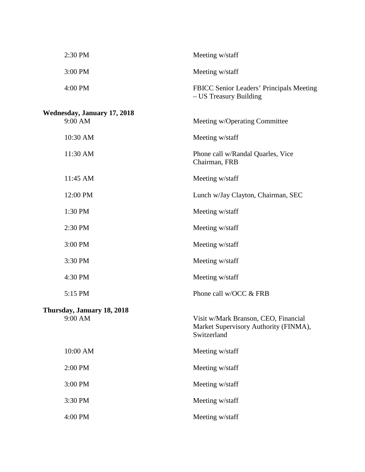| 2:30 PM                     | Meeting w/staff                                                                              |
|-----------------------------|----------------------------------------------------------------------------------------------|
| 3:00 PM                     | Meeting w/staff                                                                              |
| 4:00 PM                     | FBICC Senior Leaders' Principals Meeting<br>- US Treasury Building                           |
| Wednesday, January 17, 2018 |                                                                                              |
| 9:00 AM                     | Meeting w/Operating Committee                                                                |
| 10:30 AM                    | Meeting w/staff                                                                              |
| 11:30 AM                    | Phone call w/Randal Quarles, Vice<br>Chairman, FRB                                           |
| 11:45 AM                    | Meeting w/staff                                                                              |
| 12:00 PM                    | Lunch w/Jay Clayton, Chairman, SEC                                                           |
| 1:30 PM                     | Meeting w/staff                                                                              |
| 2:30 PM                     | Meeting w/staff                                                                              |
| 3:00 PM                     | Meeting w/staff                                                                              |
| 3:30 PM                     | Meeting w/staff                                                                              |
| 4:30 PM                     | Meeting w/staff                                                                              |
| 5:15 PM                     | Phone call w/OCC & FRB                                                                       |
| Thursday, January 18, 2018  |                                                                                              |
| 9:00 AM                     | Visit w/Mark Branson, CEO, Financial<br>Market Supervisory Authority (FINMA),<br>Switzerland |
| 10:00 AM                    | Meeting w/staff                                                                              |
| 2:00 PM                     | Meeting w/staff                                                                              |
| 3:00 PM                     | Meeting w/staff                                                                              |
| 3:30 PM                     | Meeting w/staff                                                                              |
| 4:00 PM                     | Meeting w/staff                                                                              |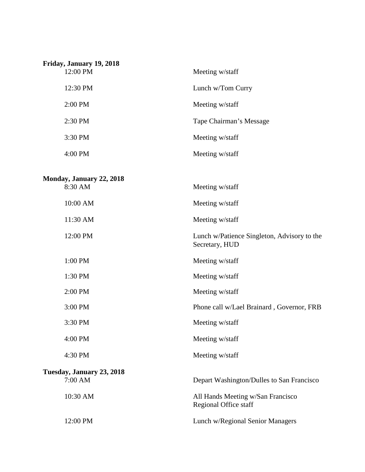| Friday, January 19, 2018<br>12:00 PM | Meeting w/staff         |
|--------------------------------------|-------------------------|
| 12:30 PM                             | Lunch w/Tom Curry       |
| $2:00$ PM                            | Meeting w/staff         |
| $2:30$ PM                            | Tape Chairman's Message |
| 3:30 PM                              | Meeting w/staff         |
| $4:00 \text{ PM}$                    | Meeting w/staff         |

#### **Monday, January 22, 2018**

| Monday, January 22, 2018  |                                                               |
|---------------------------|---------------------------------------------------------------|
| 8:30 AM                   | Meeting w/staff                                               |
| 10:00 AM                  | Meeting w/staff                                               |
| 11:30 AM                  | Meeting w/staff                                               |
| 12:00 PM                  | Lunch w/Patience Singleton, Advisory to the<br>Secretary, HUD |
| 1:00 PM                   | Meeting w/staff                                               |
| 1:30 PM                   | Meeting w/staff                                               |
| 2:00 PM                   | Meeting w/staff                                               |
| 3:00 PM                   | Phone call w/Lael Brainard, Governor, FRB                     |
| 3:30 PM                   | Meeting w/staff                                               |
| 4:00 PM                   | Meeting w/staff                                               |
| 4:30 PM                   | Meeting w/staff                                               |
| Tuesday, January 23, 2018 |                                                               |
| 7:00 AM                   | Depart Washington/Dulles to San Francisco                     |
| 10:30 AM                  | All Hands Meeting w/San Francisco<br>Regional Office staff    |
| 12:00 PM                  | Lunch w/Regional Senior Managers                              |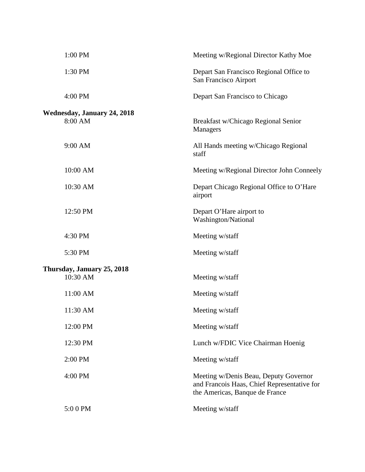| 1:00 PM                                       | Meeting w/Regional Director Kathy Moe                                                                                  |
|-----------------------------------------------|------------------------------------------------------------------------------------------------------------------------|
| 1:30 PM                                       | Depart San Francisco Regional Office to<br>San Francisco Airport                                                       |
| 4:00 PM                                       | Depart San Francisco to Chicago                                                                                        |
| <b>Wednesday, January 24, 2018</b><br>8:00 AM | Breakfast w/Chicago Regional Senior<br>Managers                                                                        |
| 9:00 AM                                       | All Hands meeting w/Chicago Regional<br>staff                                                                          |
| 10:00 AM                                      | Meeting w/Regional Director John Conneely                                                                              |
| 10:30 AM                                      | Depart Chicago Regional Office to O'Hare<br>airport                                                                    |
| 12:50 PM                                      | Depart O'Hare airport to<br>Washington/National                                                                        |
| 4:30 PM                                       | Meeting w/staff                                                                                                        |
| 5:30 PM                                       | Meeting w/staff                                                                                                        |
| Thursday, January 25, 2018<br>10:30 AM        | Meeting w/staff                                                                                                        |
| 11:00 AM                                      | Meeting w/staff                                                                                                        |
| 11:30 AM                                      | Meeting w/staff                                                                                                        |
| 12:00 PM                                      | Meeting w/staff                                                                                                        |
| 12:30 PM                                      | Lunch w/FDIC Vice Chairman Hoenig                                                                                      |
| 2:00 PM                                       | Meeting w/staff                                                                                                        |
| 4:00 PM                                       | Meeting w/Denis Beau, Deputy Governor<br>and Francois Haas, Chief Representative for<br>the Americas, Banque de France |
| 5:00 PM                                       | Meeting w/staff                                                                                                        |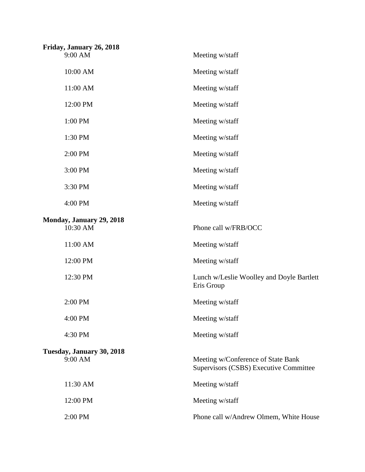| Friday, January 26, 2018             |                                                                              |
|--------------------------------------|------------------------------------------------------------------------------|
| 9:00 AM                              | Meeting w/staff                                                              |
| 10:00 AM                             | Meeting w/staff                                                              |
| 11:00 AM                             | Meeting w/staff                                                              |
| 12:00 PM                             | Meeting w/staff                                                              |
| 1:00 PM                              | Meeting w/staff                                                              |
| 1:30 PM                              | Meeting w/staff                                                              |
| 2:00 PM                              | Meeting w/staff                                                              |
| 3:00 PM                              | Meeting w/staff                                                              |
| 3:30 PM                              | Meeting w/staff                                                              |
| 4:00 PM                              | Meeting w/staff                                                              |
| Monday, January 29, 2018<br>10:30 AM | Phone call w/FRB/OCC                                                         |
| 11:00 AM                             | Meeting w/staff                                                              |
|                                      |                                                                              |
| 12:00 PM                             | Meeting w/staff                                                              |
| 12:30 PM                             | Lunch w/Leslie Woolley and Doyle Bartlett<br>Eris Group                      |
| 2:00 PM                              | Meeting w/staff                                                              |
| 4:00 PM                              | Meeting w/staff                                                              |
| 4:30 PM                              | Meeting w/staff                                                              |
| Tuesday, January 30, 2018<br>9:00 AM | Meeting w/Conference of State Bank<br>Supervisors (CSBS) Executive Committee |
| 11:30 AM                             | Meeting w/staff                                                              |
| 12:00 PM                             | Meeting w/staff                                                              |
| 2:00 PM                              | Phone call w/Andrew Olmem, White House                                       |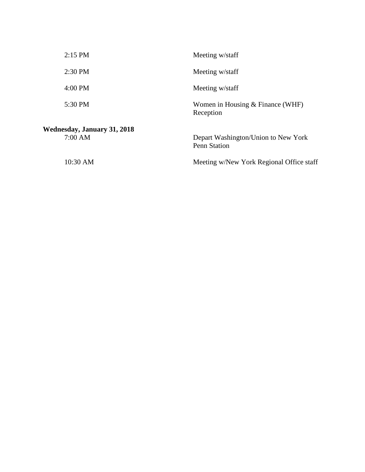| $2:15$ PM                                     | Meeting w/staff                                            |
|-----------------------------------------------|------------------------------------------------------------|
| $2:30$ PM                                     | Meeting w/staff                                            |
| $4:00 \text{ PM}$                             | Meeting w/staff                                            |
| 5:30 PM                                       | Women in Housing $&$ Finance (WHF)<br>Reception            |
| <b>Wednesday, January 31, 2018</b><br>7:00 AM | Depart Washington/Union to New York<br><b>Penn Station</b> |
| 10:30 AM                                      | Meeting w/New York Regional Office staff                   |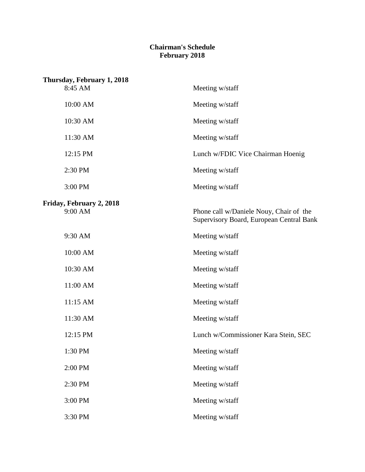### **Chairman's Schedule February 2018**

| Thursday, February 1, 2018<br>8:45 AM | Meeting w/staff                                                                     |
|---------------------------------------|-------------------------------------------------------------------------------------|
| 10:00 AM                              | Meeting w/staff                                                                     |
| 10:30 AM                              | Meeting w/staff                                                                     |
| 11:30 AM                              | Meeting w/staff                                                                     |
| 12:15 PM                              | Lunch w/FDIC Vice Chairman Hoenig                                                   |
| 2:30 PM                               | Meeting w/staff                                                                     |
| 3:00 PM                               | Meeting w/staff                                                                     |
| Friday, February 2, 2018<br>9:00 AM   | Phone call w/Daniele Nouy, Chair of the<br>Supervisory Board, European Central Bank |
| 9:30 AM                               | Meeting w/staff                                                                     |
| 10:00 AM                              | Meeting w/staff                                                                     |
| 10:30 AM                              | Meeting w/staff                                                                     |
| 11:00 AM                              | Meeting w/staff                                                                     |
| 11:15 AM                              | Meeting w/staff                                                                     |
| 11:30 AM                              | Meeting w/staff                                                                     |
| 12:15 PM                              | Lunch w/Commissioner Kara Stein, SEC                                                |
| 1:30 PM                               | Meeting w/staff                                                                     |
| 2:00 PM                               | Meeting w/staff                                                                     |
| 2:30 PM                               | Meeting w/staff                                                                     |
| 3:00 PM                               | Meeting w/staff                                                                     |
| 3:30 PM                               | Meeting w/staff                                                                     |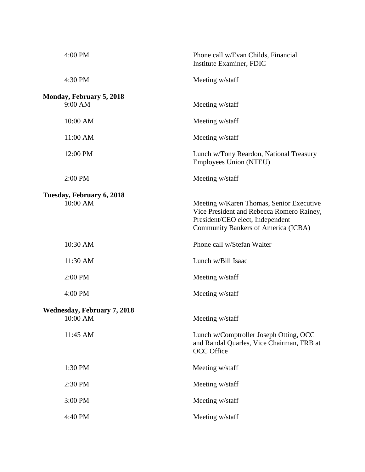| 4:00 PM                            | Phone call w/Evan Childs, Financial<br>Institute Examiner, FDIC                                                                                                  |
|------------------------------------|------------------------------------------------------------------------------------------------------------------------------------------------------------------|
| 4:30 PM                            | Meeting w/staff                                                                                                                                                  |
| Monday, February 5, 2018           |                                                                                                                                                                  |
| 9:00 AM                            | Meeting w/staff                                                                                                                                                  |
| 10:00 AM                           | Meeting w/staff                                                                                                                                                  |
| 11:00 AM                           | Meeting w/staff                                                                                                                                                  |
| 12:00 PM                           | Lunch w/Tony Reardon, National Treasury<br>Employees Union (NTEU)                                                                                                |
| 2:00 PM                            | Meeting w/staff                                                                                                                                                  |
| Tuesday, February 6, 2018          |                                                                                                                                                                  |
| 10:00 AM                           | Meeting w/Karen Thomas, Senior Executive<br>Vice President and Rebecca Romero Rainey,<br>President/CEO elect, Independent<br>Community Bankers of America (ICBA) |
| 10:30 AM                           | Phone call w/Stefan Walter                                                                                                                                       |
| 11:30 AM                           | Lunch w/Bill Isaac                                                                                                                                               |
| 2:00 PM                            | Meeting w/staff                                                                                                                                                  |
| 4:00 PM                            | Meeting w/staff                                                                                                                                                  |
| <b>Wednesday, February 7, 2018</b> |                                                                                                                                                                  |
| 10:00 AM                           |                                                                                                                                                                  |
|                                    | Meeting w/staff                                                                                                                                                  |
| 11:45 AM                           | Lunch w/Comptroller Joseph Otting, OCC<br>and Randal Quarles, Vice Chairman, FRB at<br><b>OCC</b> Office                                                         |
| 1:30 PM                            | Meeting w/staff                                                                                                                                                  |
| 2:30 PM                            | Meeting w/staff                                                                                                                                                  |
| 3:00 PM                            | Meeting w/staff                                                                                                                                                  |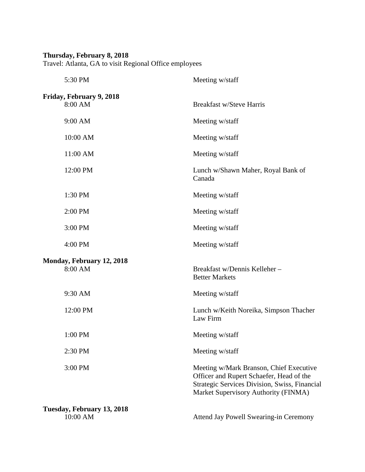#### **Thursday, February 8, 2018**

Travel: Atlanta, GA to visit Regional Office employees

| 5:30 PM                                | Meeting w/staff                                                                                                                                                              |
|----------------------------------------|------------------------------------------------------------------------------------------------------------------------------------------------------------------------------|
| Friday, February 9, 2018<br>8:00 AM    | <b>Breakfast w/Steve Harris</b>                                                                                                                                              |
| 9:00 AM                                | Meeting w/staff                                                                                                                                                              |
| 10:00 AM                               | Meeting w/staff                                                                                                                                                              |
| 11:00 AM                               | Meeting w/staff                                                                                                                                                              |
| 12:00 PM                               | Lunch w/Shawn Maher, Royal Bank of<br>Canada                                                                                                                                 |
| 1:30 PM                                | Meeting w/staff                                                                                                                                                              |
| 2:00 PM                                | Meeting w/staff                                                                                                                                                              |
| 3:00 PM                                | Meeting w/staff                                                                                                                                                              |
| 4:00 PM                                | Meeting w/staff                                                                                                                                                              |
| Monday, February 12, 2018<br>8:00 AM   | Breakfast w/Dennis Kelleher-<br><b>Better Markets</b>                                                                                                                        |
| 9:30 AM                                | Meeting w/staff                                                                                                                                                              |
| 12:00 PM                               | Lunch w/Keith Noreika, Simpson Thacher<br>Law Firm                                                                                                                           |
| 1:00 PM                                | Meeting w/staff                                                                                                                                                              |
| 2:30 PM                                | Meeting w/staff                                                                                                                                                              |
| 3:00 PM                                | Meeting w/Mark Branson, Chief Executive<br>Officer and Rupert Schaefer, Head of the<br>Strategic Services Division, Swiss, Financial<br>Market Supervisory Authority (FINMA) |
| Tuesday, February 13, 2018<br>10:00 AM | Attend Jay Powell Swearing-in Ceremony                                                                                                                                       |
|                                        |                                                                                                                                                                              |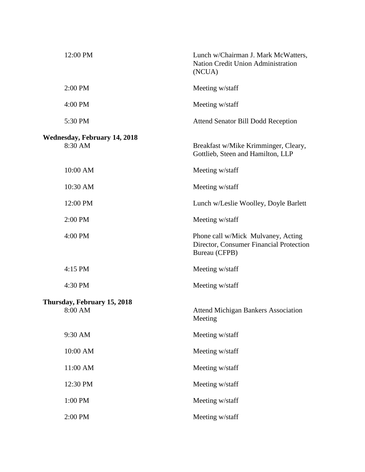| 12:00 PM                                       | Lunch w/Chairman J. Mark McWatters,<br>Nation Credit Union Administration<br>(NCUA)            |
|------------------------------------------------|------------------------------------------------------------------------------------------------|
| 2:00 PM                                        | Meeting w/staff                                                                                |
| 4:00 PM                                        | Meeting w/staff                                                                                |
| 5:30 PM                                        | <b>Attend Senator Bill Dodd Reception</b>                                                      |
| <b>Wednesday, February 14, 2018</b><br>8:30 AM | Breakfast w/Mike Krimminger, Cleary,<br>Gottlieb, Steen and Hamilton, LLP                      |
| 10:00 AM                                       | Meeting w/staff                                                                                |
| 10:30 AM                                       | Meeting w/staff                                                                                |
| 12:00 PM                                       | Lunch w/Leslie Woolley, Doyle Barlett                                                          |
| 2:00 PM                                        | Meeting w/staff                                                                                |
| 4:00 PM                                        | Phone call w/Mick Mulvaney, Acting<br>Director, Consumer Financial Protection<br>Bureau (CFPB) |
| 4:15 PM                                        | Meeting w/staff                                                                                |
| 4:30 PM                                        | Meeting w/staff                                                                                |
| Thursday, February 15, 2018<br>8:00 AM         | <b>Attend Michigan Bankers Association</b><br>Meeting                                          |
| 9:30 AM                                        | Meeting w/staff                                                                                |
| 10:00 AM                                       | Meeting w/staff                                                                                |
| 11:00 AM                                       | Meeting w/staff                                                                                |
| 12:30 PM                                       | Meeting w/staff                                                                                |
| 1:00 PM                                        | Meeting w/staff                                                                                |
| 2:00 PM                                        | Meeting w/staff                                                                                |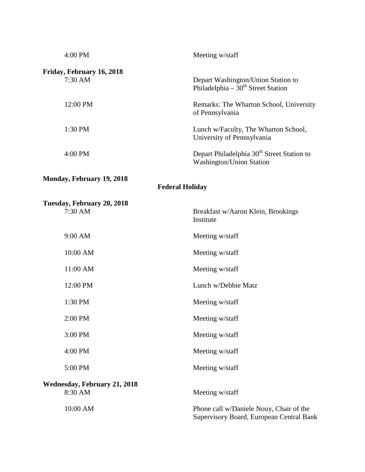| 4:00 PM                                             | Meeting w/staff                                                                     |  |
|-----------------------------------------------------|-------------------------------------------------------------------------------------|--|
| Friday, February 16, 2018<br>7:30 AM                | Depart Washington/Union Station to<br>Philadelphia – $30th$ Street Station          |  |
| 12:00 PM                                            | Remarks: The Wharton School, University<br>of Pennsylvania                          |  |
| 1:30 PM                                             | Lunch w/Faculty, The Wharton School,<br>University of Pennsylvania                  |  |
| 4:00 PM                                             | Depart Philadelphia 30 <sup>th</sup> Street Station to<br>Washington/Union Station  |  |
| Monday, February 19, 2018<br><b>Federal Holiday</b> |                                                                                     |  |
| Tuesday, February 20, 2018<br>7:30 AM               | Breakfast w/Aaron Klein, Brookings<br>Institute                                     |  |
| 9:00 AM                                             | Meeting w/staff                                                                     |  |
| 10:00 AM                                            | Meeting w/staff                                                                     |  |
| 11:00 AM                                            | Meeting w/staff                                                                     |  |
| 12:00 PM                                            | Lunch w/Debbie Matz                                                                 |  |
| 1:30 PM                                             | Meeting w/staff                                                                     |  |
| 2:00 PM                                             | Meeting w/staff                                                                     |  |
| 3:00 PM                                             | Meeting w/staff                                                                     |  |
| 4:00 PM                                             | Meeting w/staff                                                                     |  |
| 5:00 PM                                             | Meeting w/staff                                                                     |  |
| <b>Wednesday, February 21, 2018</b><br>8:30 AM      | Meeting w/staff                                                                     |  |
| 10:00 AM                                            | Phone call w/Daniele Nouy, Chair of the<br>Supervisory Board, European Central Bank |  |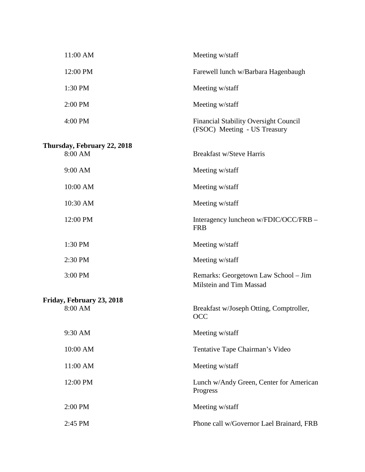| 11:00 AM                               | Meeting w/staff                                                              |
|----------------------------------------|------------------------------------------------------------------------------|
| 12:00 PM                               | Farewell lunch w/Barbara Hagenbaugh                                          |
| 1:30 PM                                | Meeting w/staff                                                              |
| 2:00 PM                                | Meeting w/staff                                                              |
| 4:00 PM                                | <b>Financial Stability Oversight Council</b><br>(FSOC) Meeting - US Treasury |
| Thursday, February 22, 2018<br>8:00 AM | <b>Breakfast w/Steve Harris</b>                                              |
| 9:00 AM                                | Meeting w/staff                                                              |
| 10:00 AM                               | Meeting w/staff                                                              |
| 10:30 AM                               | Meeting w/staff                                                              |
| 12:00 PM                               | Interagency luncheon w/FDIC/OCC/FRB -<br><b>FRB</b>                          |
| 1:30 PM                                | Meeting w/staff                                                              |
| 2:30 PM                                | Meeting w/staff                                                              |
| 3:00 PM                                | Remarks: Georgetown Law School - Jim<br>Milstein and Tim Massad              |
| Friday, February 23, 2018              |                                                                              |
| 8:00 AM                                | Breakfast w/Joseph Otting, Comptroller,<br>OCC                               |
| 9:30 AM                                | Meeting w/staff                                                              |
| 10:00 AM                               | Tentative Tape Chairman's Video                                              |
| 11:00 AM                               | Meeting w/staff                                                              |
| 12:00 PM                               | Lunch w/Andy Green, Center for American<br>Progress                          |
| 2:00 PM                                | Meeting w/staff                                                              |
| 2:45 PM                                | Phone call w/Governor Lael Brainard, FRB                                     |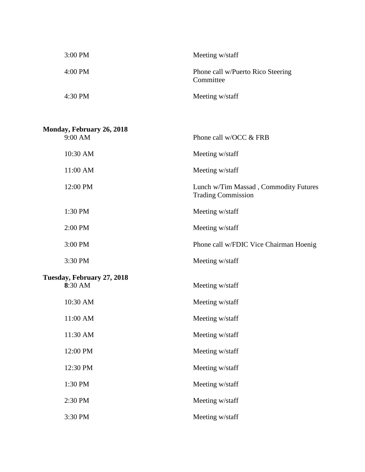| $3:00$ PM         | Meeting w/staff                                |
|-------------------|------------------------------------------------|
| $4:00 \text{ PM}$ | Phone call w/Puerto Rico Steering<br>Committee |
| 4:30 PM           | Meeting w/staff                                |

| Monday, February 26, 2018  |                                                                    |
|----------------------------|--------------------------------------------------------------------|
| 9:00 AM                    | Phone call w/OCC & FRB                                             |
| 10:30 AM                   | Meeting w/staff                                                    |
| 11:00 AM                   | Meeting w/staff                                                    |
| 12:00 PM                   | Lunch w/Tim Massad, Commodity Futures<br><b>Trading Commission</b> |
| 1:30 PM                    | Meeting w/staff                                                    |
| 2:00 PM                    | Meeting w/staff                                                    |
| 3:00 PM                    | Phone call w/FDIC Vice Chairman Hoenig                             |
| 3:30 PM                    | Meeting w/staff                                                    |
| Tuesday, February 27, 2018 |                                                                    |
| 8:30 AM                    | Meeting w/staff                                                    |
| 10:30 AM                   | Meeting w/staff                                                    |
| 11:00 AM                   | Meeting w/staff                                                    |
| 11:30 AM                   | Meeting w/staff                                                    |
| 12:00 PM                   | Meeting w/staff                                                    |
| 12:30 PM                   | Meeting w/staff                                                    |
| 1:30 PM                    | Meeting w/staff                                                    |
| 2:30 PM                    | Meeting w/staff                                                    |
| 3:30 PM                    | Meeting w/staff                                                    |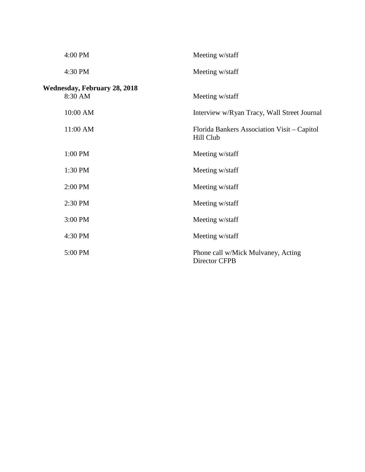| 4:00 PM                                        | Meeting w/staff                                          |
|------------------------------------------------|----------------------------------------------------------|
| 4:30 PM                                        | Meeting w/staff                                          |
| <b>Wednesday, February 28, 2018</b><br>8:30 AM | Meeting w/staff                                          |
| 10:00 AM                                       | Interview w/Ryan Tracy, Wall Street Journal              |
| 11:00 AM                                       | Florida Bankers Association Visit – Capitol<br>Hill Club |
| 1:00 PM                                        | Meeting w/staff                                          |
| 1:30 PM                                        | Meeting w/staff                                          |
| 2:00 PM                                        | Meeting w/staff                                          |
| 2:30 PM                                        | Meeting w/staff                                          |
| 3:00 PM                                        | Meeting w/staff                                          |
| 4:30 PM                                        | Meeting w/staff                                          |
| 5:00 PM                                        | Phone call w/Mick Mulvaney, Acting<br>Director CFPB      |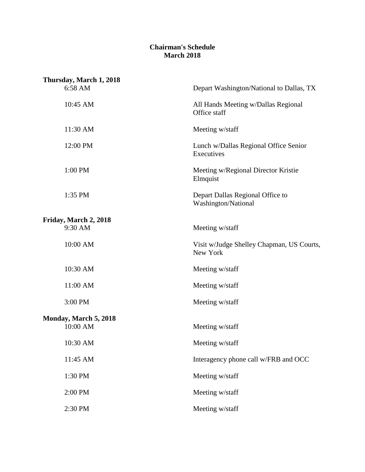### **Chairman's Schedule March 2018**

| Thursday, March 1, 2018 |                                                         |
|-------------------------|---------------------------------------------------------|
| 6:58 AM                 | Depart Washington/National to Dallas, TX                |
| 10:45 AM                | All Hands Meeting w/Dallas Regional<br>Office staff     |
| 11:30 AM                | Meeting w/staff                                         |
| 12:00 PM                | Lunch w/Dallas Regional Office Senior<br>Executives     |
| 1:00 PM                 | Meeting w/Regional Director Kristie<br>Elmquist         |
| 1:35 PM                 | Depart Dallas Regional Office to<br>Washington/National |
| Friday, March 2, 2018   |                                                         |
| 9:30 AM                 | Meeting w/staff                                         |
| 10:00 AM                | Visit w/Judge Shelley Chapman, US Courts,<br>New York   |
| 10:30 AM                | Meeting w/staff                                         |
| 11:00 AM                | Meeting w/staff                                         |
| 3:00 PM                 | Meeting w/staff                                         |
| Monday, March 5, 2018   |                                                         |
| 10:00 AM                | Meeting w/staff                                         |
| 10:30 AM                | Meeting w/staff                                         |
| 11:45 AM                | Interagency phone call w/FRB and OCC                    |
| 1:30 PM                 | Meeting w/staff                                         |
| 2:00 PM                 | Meeting w/staff                                         |
| 2:30 PM                 | Meeting w/staff                                         |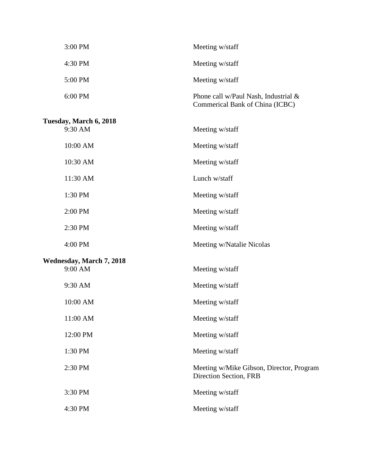| 3:00 PM                                    | Meeting w/staff                                                         |
|--------------------------------------------|-------------------------------------------------------------------------|
| 4:30 PM                                    | Meeting w/staff                                                         |
| 5:00 PM                                    | Meeting w/staff                                                         |
| 6:00 PM                                    | Phone call w/Paul Nash, Industrial &<br>Commerical Bank of China (ICBC) |
| Tuesday, March 6, 2018<br>9:30 AM          | Meeting w/staff                                                         |
| 10:00 AM                                   | Meeting w/staff                                                         |
| 10:30 AM                                   | Meeting w/staff                                                         |
| 11:30 AM                                   | Lunch w/staff                                                           |
| 1:30 PM                                    | Meeting w/staff                                                         |
| 2:00 PM                                    | Meeting w/staff                                                         |
| 2:30 PM                                    | Meeting w/staff                                                         |
| 4:00 PM                                    | Meeting w/Natalie Nicolas                                               |
| <b>Wednesday, March 7, 2018</b><br>9:00 AM | Meeting w/staff                                                         |
| 9:30 AM                                    | Meeting w/staff                                                         |
| 10:00 AM                                   | Meeting w/staff                                                         |
| 11:00 AM                                   | Meeting w/staff                                                         |
| 12:00 PM                                   | Meeting w/staff                                                         |
| 1:30 PM                                    | Meeting w/staff                                                         |
| 2:30 PM                                    | Meeting w/Mike Gibson, Director, Program<br>Direction Section, FRB      |
| 3:30 PM                                    | Meeting w/staff                                                         |

4:30 PM Meeting w/staff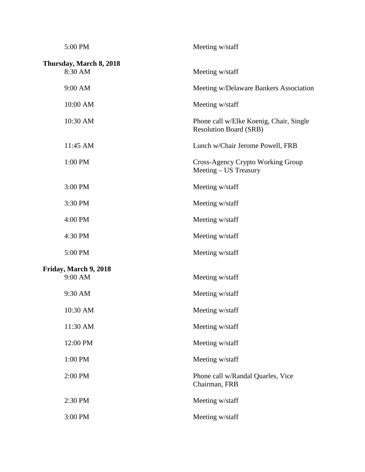| 5:00 PM                            | Meeting w/staff                                                          |
|------------------------------------|--------------------------------------------------------------------------|
| Thursday, March 8, 2018<br>8:30 AM | Meeting w/staff                                                          |
| 9:00 AM                            | Meeting w/Delaware Bankers Association                                   |
| 10:00 AM                           | Meeting w/staff                                                          |
| 10:30 AM                           | Phone call w/Elke Koenig, Chair, Single<br><b>Resolution Board (SRB)</b> |
| 11:45 AM                           | Lunch w/Chair Jerome Powell, FRB                                         |
| 1:00 PM                            | Cross-Agency Crypto Working Group<br>Meeting – US Treasury               |
| 3:00 PM                            | Meeting w/staff                                                          |
| 3:30 PM                            | Meeting w/staff                                                          |
| 4:00 PM                            | Meeting w/staff                                                          |
| 4:30 PM                            | Meeting w/staff                                                          |
| 5:00 PM                            | Meeting w/staff                                                          |
| Friday, March 9, 2018<br>9:00 AM   | Meeting w/staff                                                          |
| 9:30 AM                            | Meeting w/staff                                                          |
| 10:30 AM                           | Meeting w/staff                                                          |
| 11:30 AM                           | Meeting w/staff                                                          |
| 12:00 PM                           | Meeting w/staff                                                          |
| 1:00 PM                            | Meeting w/staff                                                          |
| 2:00 PM                            | Phone call w/Randal Quarles, Vice<br>Chairman, FRB                       |
| 2:30 PM                            | Meeting w/staff                                                          |
| 3:00 PM                            | Meeting w/staff                                                          |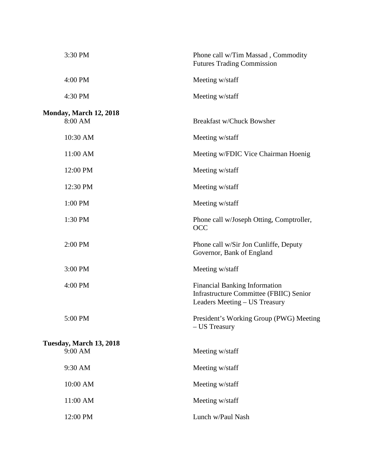| 3:30 PM                           | Phone call w/Tim Massad, Commodity<br><b>Futures Trading Commission</b>                                          |
|-----------------------------------|------------------------------------------------------------------------------------------------------------------|
| 4:00 PM                           | Meeting w/staff                                                                                                  |
| 4:30 PM                           | Meeting w/staff                                                                                                  |
| Monday, March 12, 2018<br>8:00 AM | <b>Breakfast w/Chuck Bowsher</b>                                                                                 |
| 10:30 AM                          | Meeting w/staff                                                                                                  |
| 11:00 AM                          | Meeting w/FDIC Vice Chairman Hoenig                                                                              |
| 12:00 PM                          | Meeting w/staff                                                                                                  |
| 12:30 PM                          | Meeting w/staff                                                                                                  |
| 1:00 PM                           | Meeting w/staff                                                                                                  |
| 1:30 PM                           | Phone call w/Joseph Otting, Comptroller,<br><b>OCC</b>                                                           |
| 2:00 PM                           | Phone call w/Sir Jon Cunliffe, Deputy<br>Governor, Bank of England                                               |
| 3:00 PM                           | Meeting w/staff                                                                                                  |
| 4:00 PM                           | <b>Financial Banking Information</b><br>Infrastructure Committee (FBIIC) Senior<br>Leaders Meeting - US Treasury |
| 5:00 PM                           | President's Working Group (PWG) Meeting<br>- US Treasury                                                         |
| Tuesday, March 13, 2018           |                                                                                                                  |
| 9:00 AM                           | Meeting w/staff                                                                                                  |
| 9:30 AM                           | Meeting w/staff                                                                                                  |
| 10:00 AM                          | Meeting w/staff                                                                                                  |
| 11:00 AM                          | Meeting w/staff                                                                                                  |
| 12:00 PM                          | Lunch w/Paul Nash                                                                                                |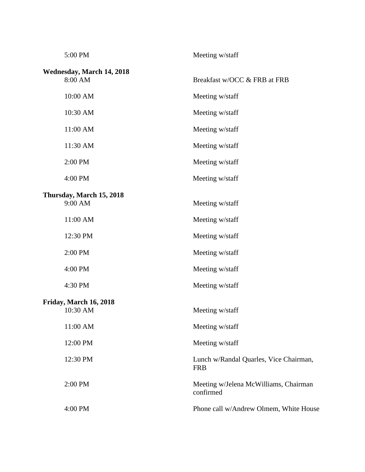| 5:00 PM                              | Meeting w/staff                                      |
|--------------------------------------|------------------------------------------------------|
| Wednesday, March 14, 2018<br>8:00 AM | Breakfast w/OCC & FRB at FRB                         |
| 10:00 AM                             | Meeting w/staff                                      |
| 10:30 AM                             | Meeting w/staff                                      |
| 11:00 AM                             | Meeting w/staff                                      |
| 11:30 AM                             | Meeting w/staff                                      |
| 2:00 PM                              | Meeting w/staff                                      |
| 4:00 PM                              | Meeting w/staff                                      |
| Thursday, March 15, 2018<br>9:00 AM  | Meeting w/staff                                      |
| 11:00 AM                             | Meeting w/staff                                      |
| 12:30 PM                             | Meeting w/staff                                      |
| 2:00 PM                              | Meeting w/staff                                      |
| 4:00 PM                              | Meeting w/staff                                      |
| 4:30 PM                              | Meeting w/staff                                      |
| Friday, March 16, 2018<br>10:30 AM   | Meeting w/staff                                      |
| 11:00 AM                             | Meeting w/staff                                      |
| 12:00 PM                             | Meeting w/staff                                      |
| 12:30 PM                             | Lunch w/Randal Quarles, Vice Chairman,<br><b>FRB</b> |
| 2:00 PM                              | Meeting w/Jelena McWilliams, Chairman<br>confirmed   |
| 4:00 PM                              | Phone call w/Andrew Olmem, White House               |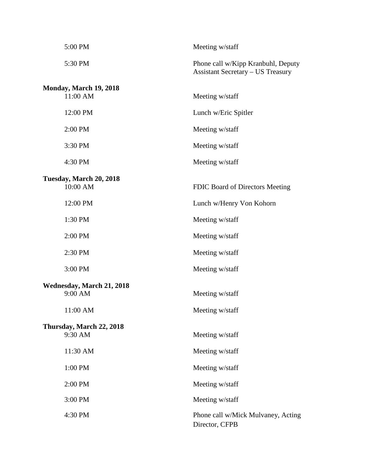| 5:00 PM                   | Meeting w/staff                                                                |
|---------------------------|--------------------------------------------------------------------------------|
| 5:30 PM                   | Phone call w/Kipp Kranbuhl, Deputy<br><b>Assistant Secretary – US Treasury</b> |
| Monday, March 19, 2018    |                                                                                |
| 11:00 AM                  | Meeting w/staff                                                                |
| 12:00 PM                  | Lunch w/Eric Spitler                                                           |
| 2:00 PM                   | Meeting w/staff                                                                |
| 3:30 PM                   | Meeting w/staff                                                                |
| 4:30 PM                   | Meeting w/staff                                                                |
| Tuesday, March 20, 2018   |                                                                                |
| 10:00 AM                  | FDIC Board of Directors Meeting                                                |
| 12:00 PM                  | Lunch w/Henry Von Kohorn                                                       |
| 1:30 PM                   | Meeting w/staff                                                                |
| 2:00 PM                   | Meeting w/staff                                                                |
| 2:30 PM                   | Meeting w/staff                                                                |
| 3:00 PM                   | Meeting w/staff                                                                |
| Wednesday, March 21, 2018 |                                                                                |
| 9:00 AM                   | Meeting w/staff                                                                |
| 11:00 AM                  | Meeting w/staff                                                                |
| Thursday, March 22, 2018  |                                                                                |
| 9:30 AM                   | Meeting w/staff                                                                |
| 11:30 AM                  | Meeting w/staff                                                                |
| 1:00 PM                   | Meeting w/staff                                                                |
| 2:00 PM                   | Meeting w/staff                                                                |
| 3:00 PM                   | Meeting w/staff                                                                |
| 4:30 PM                   | Phone call w/Mick Mulvaney, Acting<br>Director, CFPB                           |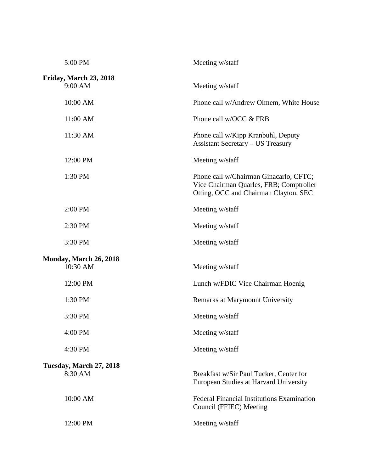| 5:00 PM                             | Meeting w/staff                                                                                                            |
|-------------------------------------|----------------------------------------------------------------------------------------------------------------------------|
| Friday, March 23, 2018<br>$9:00$ AM | Meeting w/staff                                                                                                            |
| 10:00 AM                            | Phone call w/Andrew Olmem, White House                                                                                     |
| 11:00 AM                            | Phone call w/OCC & FRB                                                                                                     |
| 11:30 AM                            | Phone call w/Kipp Kranbuhl, Deputy<br><b>Assistant Secretary - US Treasury</b>                                             |
| 12:00 PM                            | Meeting w/staff                                                                                                            |
| 1:30 PM                             | Phone call w/Chairman Ginacarlo, CFTC;<br>Vice Chairman Quarles, FRB; Comptroller<br>Otting, OCC and Chairman Clayton, SEC |
| 2:00 PM                             | Meeting w/staff                                                                                                            |
| 2:30 PM                             | Meeting w/staff                                                                                                            |
| 3:30 PM                             | Meeting w/staff                                                                                                            |
| Monday, March 26, 2018<br>10:30 AM  | Meeting w/staff                                                                                                            |
| 12:00 PM                            | Lunch w/FDIC Vice Chairman Hoenig                                                                                          |
| 1:30 PM                             | Remarks at Marymount University                                                                                            |
| 3:30 PM                             | Meeting w/staff                                                                                                            |
| 4:00 PM                             | Meeting w/staff                                                                                                            |
| 4:30 PM                             | Meeting w/staff                                                                                                            |
| Tuesday, March 27, 2018<br>8:30 AM  | Breakfast w/Sir Paul Tucker, Center for<br>European Studies at Harvard University                                          |
| 10:00 AM                            | Federal Financial Institutions Examination<br>Council (FFIEC) Meeting                                                      |
| 12:00 PM                            | Meeting w/staff                                                                                                            |